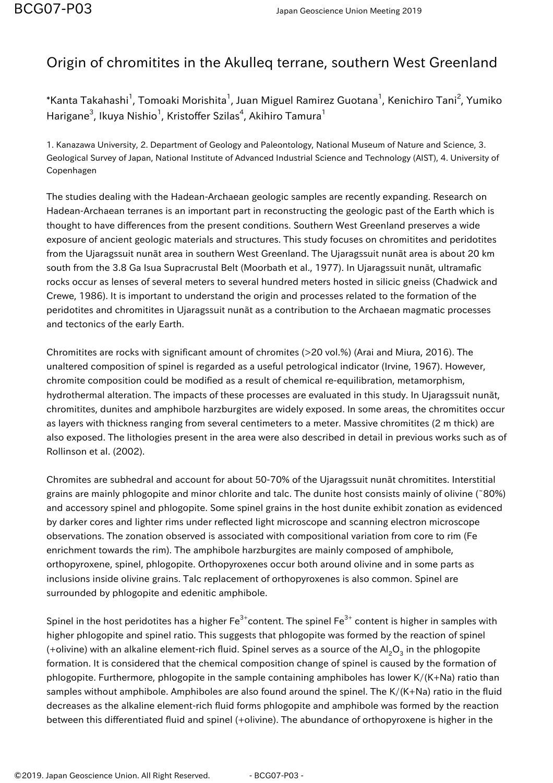## Origin of chromitites in the Akulleq terrane, southern West Greenland

 $^\ast$ Kanta Takahashi $^1$ , Tomoaki Morishita $^1$ , Juan Miguel Ramirez Guotana $^1$ , Kenichiro Tani $^2$ , Yumiko Harigane $^3$ , Ikuya Nishio $^1$ , Kristoffer Szilas $^4$ , Akihiro Tamura $^1$ 

1. Kanazawa University, 2. Department of Geology and Paleontology, National Museum of Nature and Science, 3. Geological Survey of Japan, National Institute of Advanced Industrial Science and Technology (AIST), 4. University of Copenhagen

The studies dealing with the Hadean-Archaean geologic samples are recently expanding. Research on Hadean-Archaean terranes is an important part in reconstructing the geologic past of the Earth which is thought to have differences from the present conditions. Southern West Greenland preserves a wide exposure of ancient geologic materials and structures. This study focuses on chromitites and peridotites from the Ujaragssuit nunãt area in southern West Greenland. The Ujaragssuit nunãt area is about 20 km south from the 3.8 Ga Isua Supracrustal Belt (Moorbath et al., 1977). In Ujaragssuit nunãt, ultramafic rocks occur as lenses of several meters to several hundred meters hosted in silicic gneiss (Chadwick and Crewe, 1986). It is important to understand the origin and processes related to the formation of the peridotites and chromitites in Ujaragssuit nunãt as a contribution to the Archaean magmatic processes and tectonics of the early Earth.

Chromitites are rocks with significant amount of chromites (>20 vol.%) (Arai and Miura, 2016). The unaltered composition of spinel is regarded as a useful petrological indicator (Irvine, 1967). However, chromite composition could be modified as a result of chemical re-equilibration, metamorphism, hydrothermal alteration. The impacts of these processes are evaluated in this study. In Ujaragssuit nunãt, chromitites, dunites and amphibole harzburgites are widely exposed. In some areas, the chromitites occur as layers with thickness ranging from several centimeters to a meter. Massive chromitites (2 m thick) are also exposed. The lithologies present in the area were also described in detail in previous works such as of Rollinson et al. (2002).

Chromites are subhedral and account for about 50-70% of the Ujaragssuit nunãt chromitites. Interstitial grains are mainly phlogopite and minor chlorite and talc. The dunite host consists mainly of olivine (∼80%) and accessory spinel and phlogopite. Some spinel grains in the host dunite exhibit zonation as evidenced by darker cores and lighter rims under reflected light microscope and scanning electron microscope observations. The zonation observed is associated with compositional variation from core to rim (Fe enrichment towards the rim). The amphibole harzburgites are mainly composed of amphibole, orthopyroxene, spinel, phlogopite. Orthopyroxenes occur both around olivine and in some parts as inclusions inside olivine grains. Talc replacement of orthopyroxenes is also common. Spinel are surrounded by phlogopite and edenitic amphibole.

Spinel in the host peridotites has a higher  $Fe^{3+}$ content. The spinel  $Fe^{3+}$  content is higher in samples with higher phlogopite and spinel ratio. This suggests that phlogopite was formed by the reaction of spinel (+olivine) with an alkaline element-rich fluid. Spinel serves as a source of the Al $_2$ O $_3$  in the phlogopite formation. It is considered that the chemical composition change of spinel is caused by the formation of phlogopite. Furthermore, phlogopite in the sample containing amphiboles has lower K/(K+Na) ratio than samples without amphibole. Amphiboles are also found around the spinel. The K/(K+Na) ratio in the fluid decreases as the alkaline element-rich fluid forms phlogopite and amphibole was formed by the reaction between this differentiated fluid and spinel (+olivine). The abundance of orthopyroxene is higher in the